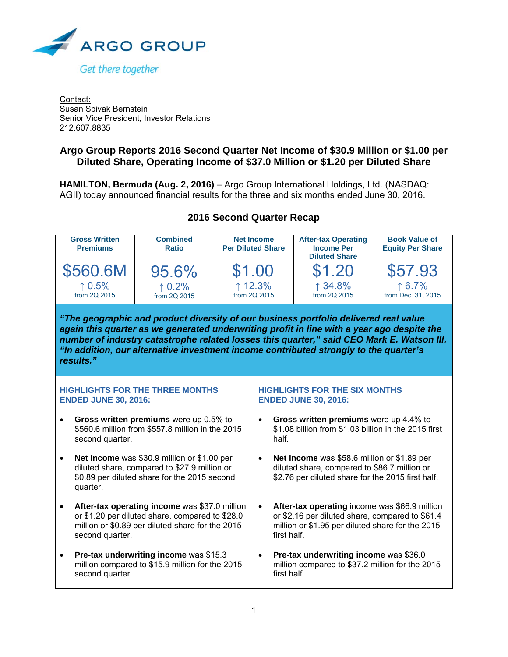

Contact: Susan Spivak Bernstein Senior Vice President, Investor Relations 212.607.8835

# **Argo Group Reports 2016 Second Quarter Net Income of \$30.9 Million or \$1.00 per Diluted Share, Operating Income of \$37.0 Million or \$1.20 per Diluted Share**

**HAMILTON, Bermuda (Aug. 2, 2016)** – Argo Group International Holdings, Ltd. (NASDAQ: AGII) today announced financial results for the three and six months ended June 30, 2016.

#### **2016 Second Quarter Recap Gross Written Premiums**  \$560.6M ↑ 0.5% from 2Q 2015 **Combined Ratio**  95.6% ↑ 0.2% from 2Q 2015 **Net Income Per Diluted Share**  \$1.00 ↑ 12.3% from 2Q 2015 **After-tax Operating Income Per Diluted Share**  \$1.20 ↑ 34.8% from 2Q 2015 **Book Value of Equity Per Share**  \$57.93  $6.7%$ from Dec. 31, 2015 *"The geographic and product diversity of our business portfolio delivered real value again this quarter as we generated underwriting profit in line with a year ago despite the number of industry catastrophe related losses this quarter," said CEO Mark E. Watson III. "In addition, our alternative investment income contributed strongly to the quarter's results."*  **HIGHLIGHTS FOR THE THREE MONTHS ENDED JUNE 30, 2016: Gross written premiums** were up 0.5% to \$560.6 million from \$557.8 million in the 2015 second quarter. **Net income** was \$30.9 million or \$1.00 per diluted share, compared to \$27.9 million or \$0.89 per diluted share for the 2015 second quarter. **After-tax operating income** was \$37.0 million or \$1.20 per diluted share, compared to \$28.0 million or \$0.89 per diluted share for the 2015 second quarter. **Pre-tax underwriting income** was \$15.3 million compared to \$15.9 million for the 2015 second quarter. **HIGHLIGHTS FOR THE SIX MONTHS ENDED JUNE 30, 2016: Gross written premiums** were up 4.4% to \$1.08 billion from \$1.03 billion in the 2015 first half. **Net income** was \$58.6 million or \$1.89 per diluted share, compared to \$86.7 million or \$2.76 per diluted share for the 2015 first half. **After-tax operating** income was \$66.9 million or \$2.16 per diluted share, compared to \$61.4 million or \$1.95 per diluted share for the 2015 first half. **Pre-tax underwriting income** was \$36.0 million compared to \$37.2 million for the 2015 first half.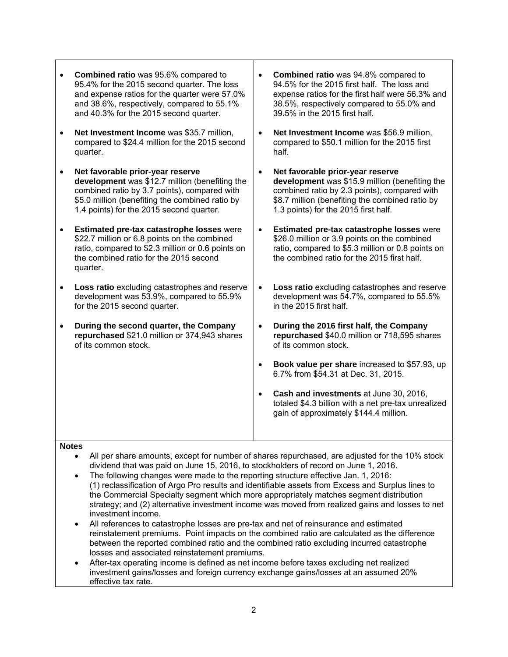- **Combined ratio** was 95.6% compared to 95.4% for the 2015 second quarter. The loss and expense ratios for the quarter were 57.0% and 38.6%, respectively, compared to 55.1% and 40.3% for the 2015 second quarter.
- **Net Investment Income** was \$35.7 million, compared to \$24.4 million for the 2015 second quarter.
- **Net favorable prior-year reserve development** was \$12.7 million (benefiting the combined ratio by 3.7 points), compared with \$5.0 million (benefiting the combined ratio by 1.4 points) for the 2015 second quarter.
- **Estimated pre-tax catastrophe losses** were \$22.7 million or 6.8 points on the combined ratio, compared to \$2.3 million or 0.6 points on the combined ratio for the 2015 second quarter.
- **Loss ratio** excluding catastrophes and reserve development was 53.9%, compared to 55.9% for the 2015 second quarter.
- **During the second quarter, the Company repurchased** \$21.0 million or 374,943 shares of its common stock.
- **Combined ratio** was 94.8% compared to 94.5% for the 2015 first half. The loss and expense ratios for the first half were 56.3% and 38.5%, respectively compared to 55.0% and 39.5% in the 2015 first half.
- **Net Investment Income** was \$56.9 million, compared to \$50.1 million for the 2015 first half.
- **Net favorable prior-year reserve development** was \$15.9 million (benefiting the combined ratio by 2.3 points), compared with \$8.7 million (benefiting the combined ratio by 1.3 points) for the 2015 first half.
- **Estimated pre-tax catastrophe losses** were \$26.0 million or 3.9 points on the combined ratio, compared to \$5.3 million or 0.8 points on the combined ratio for the 2015 first half.
- **Loss ratio** excluding catastrophes and reserve development was 54.7%, compared to 55.5% in the 2015 first half.
- **During the 2016 first half, the Company repurchased** \$40.0 million or 718,595 shares of its common stock.
- **Book value per share** increased to \$57.93, up 6.7% from \$54.31 at Dec. 31, 2015.
- **Cash and investments** at June 30, 2016, totaled \$4.3 billion with a net pre-tax unrealized gain of approximately \$144.4 million.

#### **Notes**

- All per share amounts, except for number of shares repurchased, are adjusted for the 10% stock dividend that was paid on June 15, 2016, to stockholders of record on June 1, 2016.
- The following changes were made to the reporting structure effective Jan. 1, 2016: (1) reclassification of Argo Pro results and identifiable assets from Excess and Surplus lines to the Commercial Specialty segment which more appropriately matches segment distribution strategy; and (2) alternative investment income was moved from realized gains and losses to net investment income.
- All references to catastrophe losses are pre-tax and net of reinsurance and estimated reinstatement premiums. Point impacts on the combined ratio are calculated as the difference between the reported combined ratio and the combined ratio excluding incurred catastrophe losses and associated reinstatement premiums.
- After-tax operating income is defined as net income before taxes excluding net realized investment gains/losses and foreign currency exchange gains/losses at an assumed 20% effective tax rate.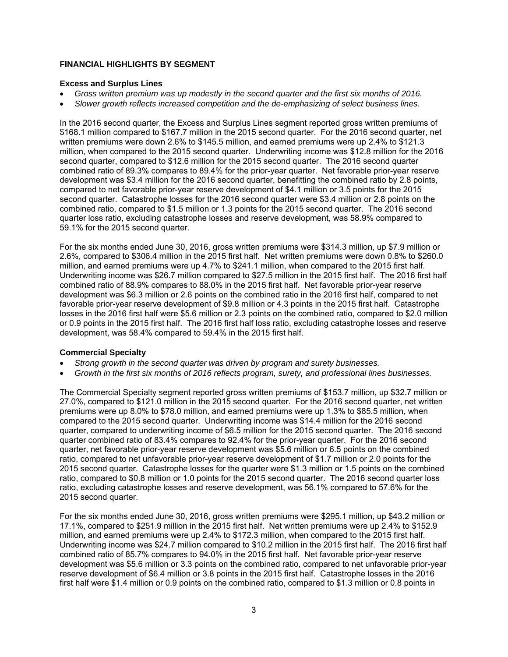### **FINANCIAL HIGHLIGHTS BY SEGMENT**

#### **Excess and Surplus Lines**

- *Gross written premium was up modestly in the second quarter and the first six months of 2016.*
- *Slower growth reflects increased competition and the de-emphasizing of select business lines.*

In the 2016 second quarter, the Excess and Surplus Lines segment reported gross written premiums of \$168.1 million compared to \$167.7 million in the 2015 second quarter. For the 2016 second quarter, net written premiums were down 2.6% to \$145.5 million, and earned premiums were up 2.4% to \$121.3 million, when compared to the 2015 second quarter. Underwriting income was \$12.8 million for the 2016 second quarter, compared to \$12.6 million for the 2015 second quarter. The 2016 second quarter combined ratio of 89.3% compares to 89.4% for the prior-year quarter. Net favorable prior-year reserve development was \$3.4 million for the 2016 second quarter, benefitting the combined ratio by 2.8 points, compared to net favorable prior-year reserve development of \$4.1 million or 3.5 points for the 2015 second quarter. Catastrophe losses for the 2016 second quarter were \$3.4 million or 2.8 points on the combined ratio, compared to \$1.5 million or 1.3 points for the 2015 second quarter. The 2016 second quarter loss ratio, excluding catastrophe losses and reserve development, was 58.9% compared to 59.1% for the 2015 second quarter.

For the six months ended June 30, 2016, gross written premiums were \$314.3 million, up \$7.9 million or 2.6%, compared to \$306.4 million in the 2015 first half. Net written premiums were down 0.8% to \$260.0 million, and earned premiums were up 4.7% to \$241.1 million, when compared to the 2015 first half. Underwriting income was \$26.7 million compared to \$27.5 million in the 2015 first half. The 2016 first half combined ratio of 88.9% compares to 88.0% in the 2015 first half. Net favorable prior-year reserve development was \$6.3 million or 2.6 points on the combined ratio in the 2016 first half, compared to net favorable prior-year reserve development of \$9.8 million or 4.3 points in the 2015 first half. Catastrophe losses in the 2016 first half were \$5.6 million or 2.3 points on the combined ratio, compared to \$2.0 million or 0.9 points in the 2015 first half. The 2016 first half loss ratio, excluding catastrophe losses and reserve development, was 58.4% compared to 59.4% in the 2015 first half.

### **Commercial Specialty**

- *Strong growth in the second quarter was driven by program and surety businesses.*
- *Growth in the first six months of 2016 reflects program, surety, and professional lines businesses.*

The Commercial Specialty segment reported gross written premiums of \$153.7 million, up \$32.7 million or 27.0%, compared to \$121.0 million in the 2015 second quarter. For the 2016 second quarter, net written premiums were up 8.0% to \$78.0 million, and earned premiums were up 1.3% to \$85.5 million, when compared to the 2015 second quarter. Underwriting income was \$14.4 million for the 2016 second quarter, compared to underwriting income of \$6.5 million for the 2015 second quarter. The 2016 second quarter combined ratio of 83.4% compares to 92.4% for the prior-year quarter. For the 2016 second quarter, net favorable prior-year reserve development was \$5.6 million or 6.5 points on the combined ratio, compared to net unfavorable prior-year reserve development of \$1.7 million or 2.0 points for the 2015 second quarter. Catastrophe losses for the quarter were \$1.3 million or 1.5 points on the combined ratio, compared to \$0.8 million or 1.0 points for the 2015 second quarter. The 2016 second quarter loss ratio, excluding catastrophe losses and reserve development, was 56.1% compared to 57.6% for the 2015 second quarter.

For the six months ended June 30, 2016, gross written premiums were \$295.1 million, up \$43.2 million or 17.1%, compared to \$251.9 million in the 2015 first half. Net written premiums were up 2.4% to \$152.9 million, and earned premiums were up 2.4% to \$172.3 million, when compared to the 2015 first half. Underwriting income was \$24.7 million compared to \$10.2 million in the 2015 first half. The 2016 first half combined ratio of 85.7% compares to 94.0% in the 2015 first half. Net favorable prior-year reserve development was \$5.6 million or 3.3 points on the combined ratio, compared to net unfavorable prior-year reserve development of \$6.4 million or 3.8 points in the 2015 first half. Catastrophe losses in the 2016 first half were \$1.4 million or 0.9 points on the combined ratio, compared to \$1.3 million or 0.8 points in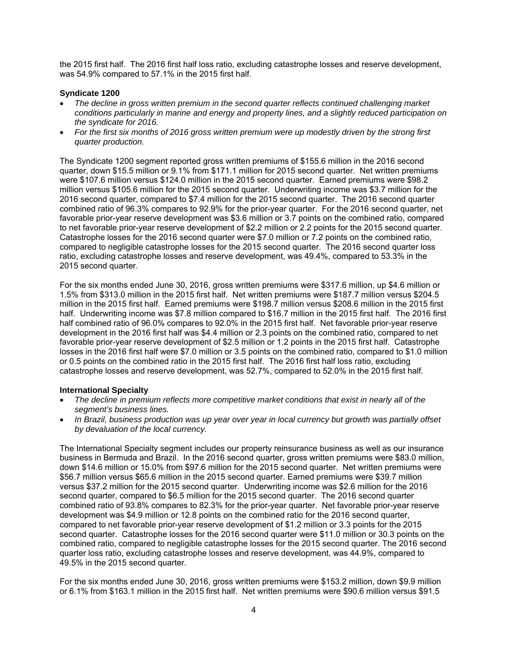the 2015 first half. The 2016 first half loss ratio, excluding catastrophe losses and reserve development, was 54.9% compared to 57.1% in the 2015 first half.

#### **Syndicate 1200**

- *The decline in gross written premium in the second quarter reflects continued challenging market conditions particularly in marine and energy and property lines, and a slightly reduced participation on the syndicate for 2016.*
- *For the first six months of 2016 gross written premium were up modestly driven by the strong first quarter production.*

The Syndicate 1200 segment reported gross written premiums of \$155.6 million in the 2016 second quarter, down \$15.5 million or 9.1% from \$171.1 million for 2015 second quarter. Net written premiums were \$107.6 million versus \$124.0 million in the 2015 second quarter. Earned premiums were \$98.2 million versus \$105.6 million for the 2015 second quarter. Underwriting income was \$3.7 million for the 2016 second quarter, compared to \$7.4 million for the 2015 second quarter. The 2016 second quarter combined ratio of 96.3% compares to 92.9% for the prior-year quarter. For the 2016 second quarter, net favorable prior-year reserve development was \$3.6 million or 3.7 points on the combined ratio, compared to net favorable prior-year reserve development of \$2.2 million or 2.2 points for the 2015 second quarter. Catastrophe losses for the 2016 second quarter were \$7.0 million or 7.2 points on the combined ratio, compared to negligible catastrophe losses for the 2015 second quarter. The 2016 second quarter loss ratio, excluding catastrophe losses and reserve development, was 49.4%, compared to 53.3% in the 2015 second quarter.

For the six months ended June 30, 2016, gross written premiums were \$317.6 million, up \$4.6 million or 1.5% from \$313.0 million in the 2015 first half. Net written premiums were \$187.7 million versus \$204.5 million in the 2015 first half. Earned premiums were \$198.7 million versus \$208.6 million in the 2015 first half. Underwriting income was \$7.8 million compared to \$16.7 million in the 2015 first half. The 2016 first half combined ratio of 96.0% compares to 92.0% in the 2015 first half. Net favorable prior-year reserve development in the 2016 first half was \$4.4 million or 2.3 points on the combined ratio, compared to net favorable prior-year reserve development of \$2.5 million or 1.2 points in the 2015 first half. Catastrophe losses in the 2016 first half were \$7.0 million or 3.5 points on the combined ratio, compared to \$1.0 million or 0.5 points on the combined ratio in the 2015 first half. The 2016 first half loss ratio, excluding catastrophe losses and reserve development, was 52.7%, compared to 52.0% in the 2015 first half.

#### **International Specialty**

- *The decline in premium reflects more competitive market conditions that exist in nearly all of the segment's business lines.*
- *In Brazil, business production was up year over year in local currency but growth was partially offset by devaluation of the local currency.*

The International Specialty segment includes our property reinsurance business as well as our insurance business in Bermuda and Brazil. In the 2016 second quarter, gross written premiums were \$83.0 million, down \$14.6 million or 15.0% from \$97.6 million for the 2015 second quarter. Net written premiums were \$56.7 million versus \$65.6 million in the 2015 second quarter. Earned premiums were \$39.7 million versus \$37.2 million for the 2015 second quarter. Underwriting income was \$2.6 million for the 2016 second quarter, compared to \$6.5 million for the 2015 second quarter. The 2016 second quarter combined ratio of 93.8% compares to 82.3% for the prior-year quarter. Net favorable prior-year reserve development was \$4.9 million or 12.8 points on the combined ratio for the 2016 second quarter, compared to net favorable prior-year reserve development of \$1.2 million or 3.3 points for the 2015 second quarter. Catastrophe losses for the 2016 second quarter were \$11.0 million or 30.3 points on the combined ratio, compared to negligible catastrophe losses for the 2015 second quarter. The 2016 second quarter loss ratio, excluding catastrophe losses and reserve development, was 44.9%, compared to 49.5% in the 2015 second quarter.

For the six months ended June 30, 2016, gross written premiums were \$153.2 million, down \$9.9 million or 6.1% from \$163.1 million in the 2015 first half. Net written premiums were \$90.6 million versus \$91.5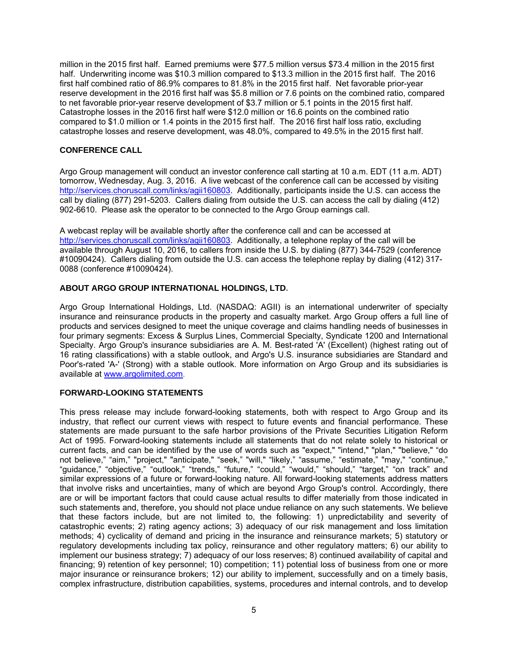million in the 2015 first half. Earned premiums were \$77.5 million versus \$73.4 million in the 2015 first half. Underwriting income was \$10.3 million compared to \$13.3 million in the 2015 first half. The 2016 first half combined ratio of 86.9% compares to 81.8% in the 2015 first half. Net favorable prior-year reserve development in the 2016 first half was \$5.8 million or 7.6 points on the combined ratio, compared to net favorable prior-year reserve development of \$3.7 million or 5.1 points in the 2015 first half. Catastrophe losses in the 2016 first half were \$12.0 million or 16.6 points on the combined ratio compared to \$1.0 million or 1.4 points in the 2015 first half. The 2016 first half loss ratio, excluding catastrophe losses and reserve development, was 48.0%, compared to 49.5% in the 2015 first half.

### **CONFERENCE CALL**

Argo Group management will conduct an investor conference call starting at 10 a.m. EDT (11 a.m. ADT) tomorrow, Wednesday, Aug. 3, 2016. A live webcast of the conference call can be accessed by visiting http://services.choruscall.com/links/agii160803. Additionally, participants inside the U.S. can access the call by dialing (877) 291-5203. Callers dialing from outside the U.S. can access the call by dialing (412) 902-6610. Please ask the operator to be connected to the Argo Group earnings call.

A webcast replay will be available shortly after the conference call and can be accessed at http://services.choruscall.com/links/agii160803. Additionally, a telephone replay of the call will be available through August 10, 2016, to callers from inside the U.S. by dialing (877) 344-7529 (conference #10090424). Callers dialing from outside the U.S. can access the telephone replay by dialing (412) 317- 0088 (conference #10090424).

### **ABOUT ARGO GROUP INTERNATIONAL HOLDINGS, LTD.**

Argo Group International Holdings, Ltd. (NASDAQ: AGII) is an international underwriter of specialty insurance and reinsurance products in the property and casualty market. Argo Group offers a full line of products and services designed to meet the unique coverage and claims handling needs of businesses in four primary segments: Excess & Surplus Lines, Commercial Specialty, Syndicate 1200 and International Specialty. Argo Group's insurance subsidiaries are A. M. Best-rated 'A' (Excellent) (highest rating out of 16 rating classifications) with a stable outlook, and Argo's U.S. insurance subsidiaries are Standard and Poor's-rated 'A-' (Strong) with a stable outlook. More information on Argo Group and its subsidiaries is available at www.argolimited.com.

### **FORWARD-LOOKING STATEMENTS**

This press release may include forward-looking statements, both with respect to Argo Group and its industry, that reflect our current views with respect to future events and financial performance. These statements are made pursuant to the safe harbor provisions of the Private Securities Litigation Reform Act of 1995. Forward-looking statements include all statements that do not relate solely to historical or current facts, and can be identified by the use of words such as "expect," "intend," "plan," "believe," "do not believe," "aim," "project," "anticipate," "seek," "will," "likely," "assume," "estimate," "may," "continue," "guidance," "objective," "outlook," "trends," "future," "could," "would," "should," "target," "on track" and similar expressions of a future or forward-looking nature. All forward-looking statements address matters that involve risks and uncertainties, many of which are beyond Argo Group's control. Accordingly, there are or will be important factors that could cause actual results to differ materially from those indicated in such statements and, therefore, you should not place undue reliance on any such statements. We believe that these factors include, but are not limited to, the following: 1) unpredictability and severity of catastrophic events; 2) rating agency actions; 3) adequacy of our risk management and loss limitation methods; 4) cyclicality of demand and pricing in the insurance and reinsurance markets; 5) statutory or regulatory developments including tax policy, reinsurance and other regulatory matters; 6) our ability to implement our business strategy; 7) adequacy of our loss reserves; 8) continued availability of capital and financing; 9) retention of key personnel; 10) competition; 11) potential loss of business from one or more major insurance or reinsurance brokers; 12) our ability to implement, successfully and on a timely basis, complex infrastructure, distribution capabilities, systems, procedures and internal controls, and to develop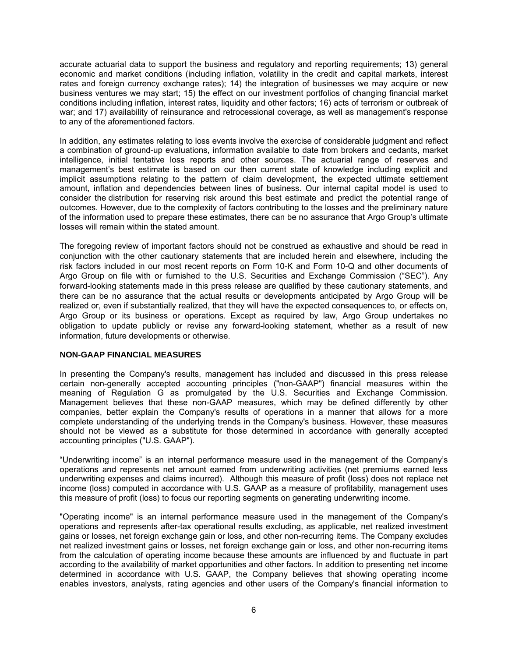accurate actuarial data to support the business and regulatory and reporting requirements; 13) general economic and market conditions (including inflation, volatility in the credit and capital markets, interest rates and foreign currency exchange rates); 14) the integration of businesses we may acquire or new business ventures we may start; 15) the effect on our investment portfolios of changing financial market conditions including inflation, interest rates, liquidity and other factors; 16) acts of terrorism or outbreak of war; and 17) availability of reinsurance and retrocessional coverage, as well as management's response to any of the aforementioned factors.

In addition, any estimates relating to loss events involve the exercise of considerable judgment and reflect a combination of ground-up evaluations, information available to date from brokers and cedants, market intelligence, initial tentative loss reports and other sources. The actuarial range of reserves and management's best estimate is based on our then current state of knowledge including explicit and implicit assumptions relating to the pattern of claim development, the expected ultimate settlement amount, inflation and dependencies between lines of business. Our internal capital model is used to consider the distribution for reserving risk around this best estimate and predict the potential range of outcomes. However, due to the complexity of factors contributing to the losses and the preliminary nature of the information used to prepare these estimates, there can be no assurance that Argo Group's ultimate losses will remain within the stated amount.

The foregoing review of important factors should not be construed as exhaustive and should be read in conjunction with the other cautionary statements that are included herein and elsewhere, including the risk factors included in our most recent reports on Form 10-K and Form 10-Q and other documents of Argo Group on file with or furnished to the U.S. Securities and Exchange Commission ("SEC"). Any forward-looking statements made in this press release are qualified by these cautionary statements, and there can be no assurance that the actual results or developments anticipated by Argo Group will be realized or, even if substantially realized, that they will have the expected consequences to, or effects on, Argo Group or its business or operations. Except as required by law, Argo Group undertakes no obligation to update publicly or revise any forward-looking statement, whether as a result of new information, future developments or otherwise.

#### **NON-GAAP FINANCIAL MEASURES**

In presenting the Company's results, management has included and discussed in this press release certain non-generally accepted accounting principles ("non-GAAP") financial measures within the meaning of Regulation G as promulgated by the U.S. Securities and Exchange Commission. Management believes that these non-GAAP measures, which may be defined differently by other companies, better explain the Company's results of operations in a manner that allows for a more complete understanding of the underlying trends in the Company's business. However, these measures should not be viewed as a substitute for those determined in accordance with generally accepted accounting principles ("U.S. GAAP").

"Underwriting income" is an internal performance measure used in the management of the Company's operations and represents net amount earned from underwriting activities (net premiums earned less underwriting expenses and claims incurred). Although this measure of profit (loss) does not replace net income (loss) computed in accordance with U.S. GAAP as a measure of profitability, management uses this measure of profit (loss) to focus our reporting segments on generating underwriting income.

"Operating income" is an internal performance measure used in the management of the Company's operations and represents after-tax operational results excluding, as applicable, net realized investment gains or losses, net foreign exchange gain or loss, and other non-recurring items. The Company excludes net realized investment gains or losses, net foreign exchange gain or loss, and other non-recurring items from the calculation of operating income because these amounts are influenced by and fluctuate in part according to the availability of market opportunities and other factors. In addition to presenting net income determined in accordance with U.S. GAAP, the Company believes that showing operating income enables investors, analysts, rating agencies and other users of the Company's financial information to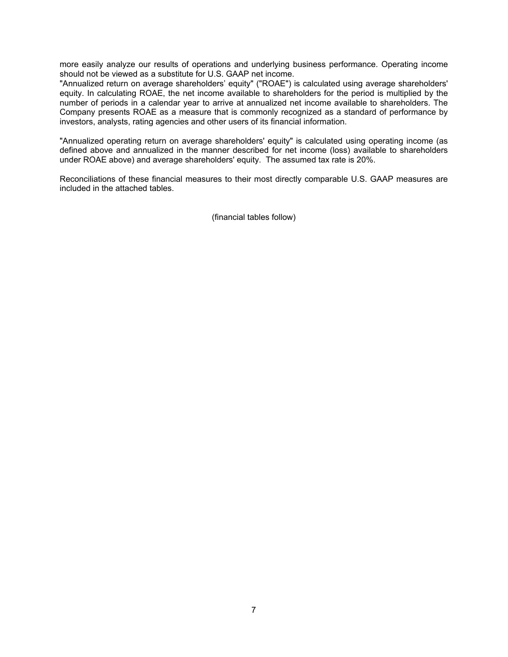more easily analyze our results of operations and underlying business performance. Operating income should not be viewed as a substitute for U.S. GAAP net income.

"Annualized return on average shareholders' equity" ("ROAE") is calculated using average shareholders' equity. In calculating ROAE, the net income available to shareholders for the period is multiplied by the number of periods in a calendar year to arrive at annualized net income available to shareholders. The Company presents ROAE as a measure that is commonly recognized as a standard of performance by investors, analysts, rating agencies and other users of its financial information.

"Annualized operating return on average shareholders' equity" is calculated using operating income (as defined above and annualized in the manner described for net income (loss) available to shareholders under ROAE above) and average shareholders' equity. The assumed tax rate is 20%.

Reconciliations of these financial measures to their most directly comparable U.S. GAAP measures are included in the attached tables.

(financial tables follow)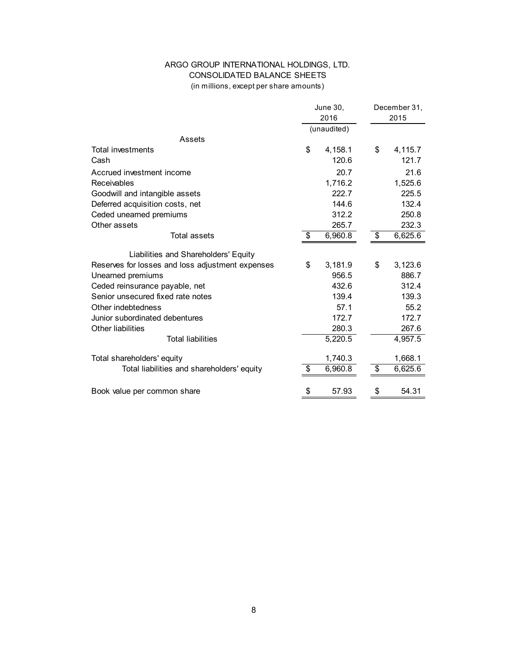## ARGO GROUP INTERNATIONAL HOLDINGS, LTD. CONSOLIDATED BALANCE SHEETS (in millions, except per share amounts)

|                                                  | June 30, |             |    | December 31, |
|--------------------------------------------------|----------|-------------|----|--------------|
|                                                  |          | 2016        |    | 2015         |
|                                                  |          | (unaudited) |    |              |
| Assets                                           |          |             |    |              |
| <b>Total investments</b>                         | \$       | 4,158.1     | \$ | 4,115.7      |
| Cash                                             |          | 120.6       |    | 121.7        |
| Accrued investment income                        |          | 20.7        |    | 21.6         |
| Receivables                                      |          | 1,716.2     |    | 1,525.6      |
| Goodwill and intangible assets                   |          | 222.7       |    | 225.5        |
| Deferred acquisition costs, net                  |          | 144.6       |    | 132.4        |
| Ceded unearned premiums                          |          | 312.2       |    | 250.8        |
| Other assets                                     |          | 265.7       |    | 232.3        |
| <b>Total assets</b>                              | \$       | 6,960.8     | \$ | 6,625.6      |
| Liabilities and Shareholders' Equity             |          |             |    |              |
| Reserves for losses and loss adjustment expenses | \$       | 3,181.9     | \$ | 3,123.6      |
| Unearned premiums                                |          | 956.5       |    | 886.7        |
| Ceded reinsurance payable, net                   |          | 432.6       |    | 312.4        |
| Senior unsecured fixed rate notes                |          | 139.4       |    | 139.3        |
| Other indebtedness                               |          | 57.1        |    | 55.2         |
| Junior subordinated debentures                   |          | 172.7       |    | 172.7        |
| Other liabilities                                |          | 280.3       |    | 267.6        |
| <b>Total liabilities</b>                         |          | 5,220.5     |    | 4,957.5      |
| Total shareholders' equity                       |          | 1,740.3     |    | 1,668.1      |
| Total liabilities and shareholders' equity       | \$       | 6,960.8     | \$ | 6,625.6      |
| Book value per common share                      | \$       | 57.93       | \$ | 54.31        |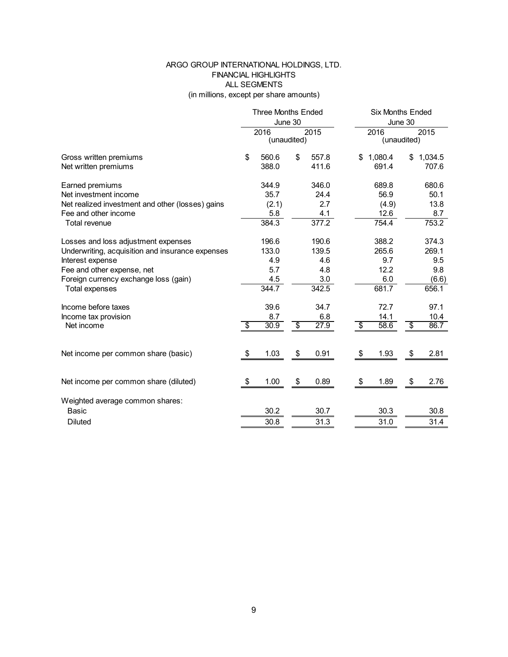### ARGO GROUP INTERNATIONAL HOLDINGS, LTD. FINANCIAL HIGHLIGHTS ALL SEGMENTS (in millions, except per share amounts)

|                                                                                                                                                                                                      | <b>Three Months Ended</b><br>June 30         |                                              | <b>Six Months Ended</b><br>June 30            |                                                |  |  |  |
|------------------------------------------------------------------------------------------------------------------------------------------------------------------------------------------------------|----------------------------------------------|----------------------------------------------|-----------------------------------------------|------------------------------------------------|--|--|--|
|                                                                                                                                                                                                      | 2016<br>(unaudited)                          | 2015                                         | 2016<br>(unaudited)                           | 2015                                           |  |  |  |
| Gross written premiums<br>Net written premiums                                                                                                                                                       | \$<br>560.6<br>388.0                         | 557.8<br>\$<br>411.6                         | 1,080.4<br>\$<br>691.4                        | 1,034.5<br>\$<br>707.6                         |  |  |  |
| Earned premiums<br>Net investment income<br>Net realized investment and other (losses) gains<br>Fee and other income<br>Total revenue                                                                | 344.9<br>35.7<br>(2.1)<br>5.8<br>384.3       | 346.0<br>24.4<br>2.7<br>4.1<br>377.2         | 689.8<br>56.9<br>(4.9)<br>12.6<br>754.4       | 680.6<br>50.1<br>13.8<br>8.7<br>753.2          |  |  |  |
| Losses and loss adjustment expenses<br>Underwriting, acquisition and insurance expenses<br>Interest expense<br>Fee and other expense, net<br>Foreign currency exchange loss (gain)<br>Total expenses | 196.6<br>133.0<br>4.9<br>5.7<br>4.5<br>344.7 | 190.6<br>139.5<br>4.6<br>4.8<br>3.0<br>342.5 | 388.2<br>265.6<br>9.7<br>12.2<br>6.0<br>681.7 | 374.3<br>269.1<br>9.5<br>9.8<br>(6.6)<br>656.1 |  |  |  |
| Income before taxes<br>Income tax provision<br>Net income                                                                                                                                            | 39.6<br>8.7<br>\$<br>30.9                    | 34.7<br>6.8<br>27.9<br>$\overline{\$}$       | 72.7<br>14.1<br>\$<br>58.6                    | 97.1<br>10.4<br>$\overline{\$}$<br>86.7        |  |  |  |
| Net income per common share (basic)                                                                                                                                                                  | 1.03<br>\$                                   | 0.91<br>\$                                   | \$<br>1.93                                    | 2.81<br>\$                                     |  |  |  |
| Net income per common share (diluted)                                                                                                                                                                | \$<br>1.00                                   | 0.89<br>\$                                   | 1.89<br>\$                                    | 2.76<br>\$                                     |  |  |  |
| Weighted average common shares:<br>Basic<br><b>Diluted</b>                                                                                                                                           | 30.2<br>30.8                                 | 30.7<br>31.3                                 | 30.3<br>31.0                                  | 30.8<br>31.4                                   |  |  |  |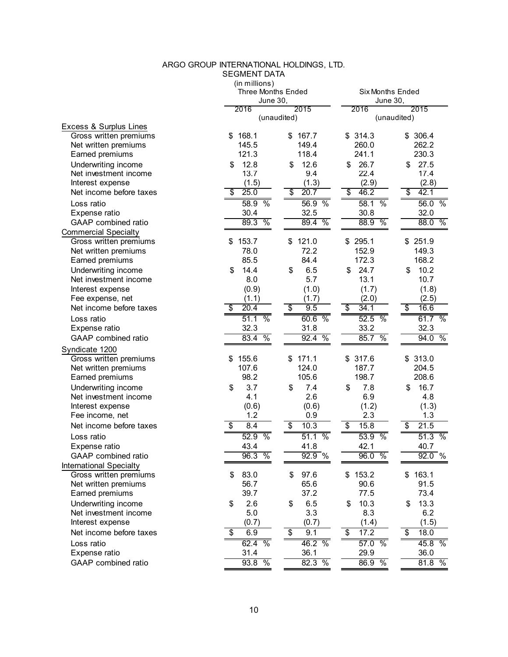### ARGO GROUP INTERNATIONAL HOLDINGS, LTD.

# SEGMENT DATA

| 2015<br>2015<br>2016<br>2016<br>(unaudited)<br>(unaudited)<br>Excess & Surplus Lines<br>168.1<br>167.7<br>\$314.3<br>306.4<br>Gross written premiums<br>\$<br>\$<br>\$<br>262.2<br>145.5<br>149.4<br>260.0<br>Net written premiums<br>121.3<br>118.4<br>241.1<br>230.3<br>Earned premiums<br>27.5<br>12.8<br>12.6<br>26.7<br>Underwriting income<br>\$<br>\$<br>\$<br>\$<br>13.7<br>22.4<br>Net investment income<br>9.4<br>17.4<br>(1.5)<br>(1.3)<br>(2.9)<br>(2.8)<br>Interest expense<br>\$<br>25.0<br>$\overline{\$}$<br>20.7<br>$\overline{\$}$<br>46.2<br>\$<br>42.1<br>Net income before taxes<br>58.9%<br>56.9%<br>$\frac{0}{0}$<br>56.0%<br>58.1<br>Loss ratio<br>32.0<br>30.4<br>32.5<br>30.8<br>Expense ratio<br>89.3 %<br>$\frac{0}{2}$<br>88.9 %<br>88.0 %<br>89.4<br>GAAP combined ratio<br><b>Commercial Specialty</b><br>153.7<br>121.0<br>\$295.1<br>251.9<br>Gross written premiums<br>\$<br>\$<br>\$<br>78.0<br>72.2<br>152.9<br>149.3<br>Net written premiums<br>85.5<br>84.4<br>172.3<br>168.2<br>Earned premiums<br>14.4<br>6.5<br>24.7<br>10.2<br>Underwriting income<br>\$<br>\$<br>\$<br>\$<br>5.7<br>13.1<br>10.7<br>Net investment income<br>8.0<br>(0.9)<br>(1.0)<br>(1.7)<br>Interest expense<br>(1.8)<br>(2.0)<br>(2.5)<br>Fee expense, net<br>(1.1)<br>(1.7) |
|---------------------------------------------------------------------------------------------------------------------------------------------------------------------------------------------------------------------------------------------------------------------------------------------------------------------------------------------------------------------------------------------------------------------------------------------------------------------------------------------------------------------------------------------------------------------------------------------------------------------------------------------------------------------------------------------------------------------------------------------------------------------------------------------------------------------------------------------------------------------------------------------------------------------------------------------------------------------------------------------------------------------------------------------------------------------------------------------------------------------------------------------------------------------------------------------------------------------------------------------------------------------------------------------|
|                                                                                                                                                                                                                                                                                                                                                                                                                                                                                                                                                                                                                                                                                                                                                                                                                                                                                                                                                                                                                                                                                                                                                                                                                                                                                             |
|                                                                                                                                                                                                                                                                                                                                                                                                                                                                                                                                                                                                                                                                                                                                                                                                                                                                                                                                                                                                                                                                                                                                                                                                                                                                                             |
|                                                                                                                                                                                                                                                                                                                                                                                                                                                                                                                                                                                                                                                                                                                                                                                                                                                                                                                                                                                                                                                                                                                                                                                                                                                                                             |
|                                                                                                                                                                                                                                                                                                                                                                                                                                                                                                                                                                                                                                                                                                                                                                                                                                                                                                                                                                                                                                                                                                                                                                                                                                                                                             |
|                                                                                                                                                                                                                                                                                                                                                                                                                                                                                                                                                                                                                                                                                                                                                                                                                                                                                                                                                                                                                                                                                                                                                                                                                                                                                             |
|                                                                                                                                                                                                                                                                                                                                                                                                                                                                                                                                                                                                                                                                                                                                                                                                                                                                                                                                                                                                                                                                                                                                                                                                                                                                                             |
|                                                                                                                                                                                                                                                                                                                                                                                                                                                                                                                                                                                                                                                                                                                                                                                                                                                                                                                                                                                                                                                                                                                                                                                                                                                                                             |
|                                                                                                                                                                                                                                                                                                                                                                                                                                                                                                                                                                                                                                                                                                                                                                                                                                                                                                                                                                                                                                                                                                                                                                                                                                                                                             |
|                                                                                                                                                                                                                                                                                                                                                                                                                                                                                                                                                                                                                                                                                                                                                                                                                                                                                                                                                                                                                                                                                                                                                                                                                                                                                             |
|                                                                                                                                                                                                                                                                                                                                                                                                                                                                                                                                                                                                                                                                                                                                                                                                                                                                                                                                                                                                                                                                                                                                                                                                                                                                                             |
|                                                                                                                                                                                                                                                                                                                                                                                                                                                                                                                                                                                                                                                                                                                                                                                                                                                                                                                                                                                                                                                                                                                                                                                                                                                                                             |
|                                                                                                                                                                                                                                                                                                                                                                                                                                                                                                                                                                                                                                                                                                                                                                                                                                                                                                                                                                                                                                                                                                                                                                                                                                                                                             |
|                                                                                                                                                                                                                                                                                                                                                                                                                                                                                                                                                                                                                                                                                                                                                                                                                                                                                                                                                                                                                                                                                                                                                                                                                                                                                             |
|                                                                                                                                                                                                                                                                                                                                                                                                                                                                                                                                                                                                                                                                                                                                                                                                                                                                                                                                                                                                                                                                                                                                                                                                                                                                                             |
|                                                                                                                                                                                                                                                                                                                                                                                                                                                                                                                                                                                                                                                                                                                                                                                                                                                                                                                                                                                                                                                                                                                                                                                                                                                                                             |
|                                                                                                                                                                                                                                                                                                                                                                                                                                                                                                                                                                                                                                                                                                                                                                                                                                                                                                                                                                                                                                                                                                                                                                                                                                                                                             |
|                                                                                                                                                                                                                                                                                                                                                                                                                                                                                                                                                                                                                                                                                                                                                                                                                                                                                                                                                                                                                                                                                                                                                                                                                                                                                             |
|                                                                                                                                                                                                                                                                                                                                                                                                                                                                                                                                                                                                                                                                                                                                                                                                                                                                                                                                                                                                                                                                                                                                                                                                                                                                                             |
|                                                                                                                                                                                                                                                                                                                                                                                                                                                                                                                                                                                                                                                                                                                                                                                                                                                                                                                                                                                                                                                                                                                                                                                                                                                                                             |
| 20.4<br>$\overline{\$}$<br>9.5<br>$\overline{\$}$<br>$\overline{\$}$<br>Net income before taxes<br>\$<br>34.1<br>16.6                                                                                                                                                                                                                                                                                                                                                                                                                                                                                                                                                                                                                                                                                                                                                                                                                                                                                                                                                                                                                                                                                                                                                                       |
| 51.1%<br>$60.6\%$<br>61.7 %<br>52.5 %<br>Loss ratio                                                                                                                                                                                                                                                                                                                                                                                                                                                                                                                                                                                                                                                                                                                                                                                                                                                                                                                                                                                                                                                                                                                                                                                                                                         |
| 32.3<br>33.2<br>32.3<br>31.8<br>Expense ratio                                                                                                                                                                                                                                                                                                                                                                                                                                                                                                                                                                                                                                                                                                                                                                                                                                                                                                                                                                                                                                                                                                                                                                                                                                               |
| 94.0 %<br>$\%$<br>92.4<br>$\frac{0}{0}$<br>$\frac{0}{0}$<br>83.4<br>85.7<br>GAAP combined ratio                                                                                                                                                                                                                                                                                                                                                                                                                                                                                                                                                                                                                                                                                                                                                                                                                                                                                                                                                                                                                                                                                                                                                                                             |
| Syndicate 1200                                                                                                                                                                                                                                                                                                                                                                                                                                                                                                                                                                                                                                                                                                                                                                                                                                                                                                                                                                                                                                                                                                                                                                                                                                                                              |
| Gross written premiums<br>\$155.6<br>171.1<br>\$317.6<br>\$313.0<br>\$                                                                                                                                                                                                                                                                                                                                                                                                                                                                                                                                                                                                                                                                                                                                                                                                                                                                                                                                                                                                                                                                                                                                                                                                                      |
| 124.0<br>107.6<br>187.7<br>204.5<br>Net written premiums                                                                                                                                                                                                                                                                                                                                                                                                                                                                                                                                                                                                                                                                                                                                                                                                                                                                                                                                                                                                                                                                                                                                                                                                                                    |
| 98.2<br>105.6<br>198.7<br>208.6<br>Earned premiums                                                                                                                                                                                                                                                                                                                                                                                                                                                                                                                                                                                                                                                                                                                                                                                                                                                                                                                                                                                                                                                                                                                                                                                                                                          |
| 3.7<br>7.4<br>7.8<br>16.7<br>\$<br>\$<br>\$<br>\$<br>Underwriting income                                                                                                                                                                                                                                                                                                                                                                                                                                                                                                                                                                                                                                                                                                                                                                                                                                                                                                                                                                                                                                                                                                                                                                                                                    |
| 2.6<br>6.9<br>4.1<br>Net investment income<br>4.8                                                                                                                                                                                                                                                                                                                                                                                                                                                                                                                                                                                                                                                                                                                                                                                                                                                                                                                                                                                                                                                                                                                                                                                                                                           |
| (0.6)<br>(0.6)<br>(1.2)<br>(1.3)<br>Interest expense                                                                                                                                                                                                                                                                                                                                                                                                                                                                                                                                                                                                                                                                                                                                                                                                                                                                                                                                                                                                                                                                                                                                                                                                                                        |
| 1.2<br>2.3<br>1.3<br>Fee income, net<br>0.9                                                                                                                                                                                                                                                                                                                                                                                                                                                                                                                                                                                                                                                                                                                                                                                                                                                                                                                                                                                                                                                                                                                                                                                                                                                 |
| Net income before taxes<br>8.4<br>\$<br>10.3<br>\$<br>15.8<br>\$<br>21.5<br>\$                                                                                                                                                                                                                                                                                                                                                                                                                                                                                                                                                                                                                                                                                                                                                                                                                                                                                                                                                                                                                                                                                                                                                                                                              |
| 52.9<br>$\frac{0}{6}$<br>51.1<br>$\frac{0}{0}$<br>51.3%<br>53.9<br>$\frac{0}{0}$<br>Loss ratio                                                                                                                                                                                                                                                                                                                                                                                                                                                                                                                                                                                                                                                                                                                                                                                                                                                                                                                                                                                                                                                                                                                                                                                              |
| 43.4<br>41.8<br>42.1<br>40.7<br>Expense ratio                                                                                                                                                                                                                                                                                                                                                                                                                                                                                                                                                                                                                                                                                                                                                                                                                                                                                                                                                                                                                                                                                                                                                                                                                                               |
| GAAP combined ratio<br>96.3 %<br>92.9 %<br>96.0%<br>$92.0\%$                                                                                                                                                                                                                                                                                                                                                                                                                                                                                                                                                                                                                                                                                                                                                                                                                                                                                                                                                                                                                                                                                                                                                                                                                                |
| International Specialty                                                                                                                                                                                                                                                                                                                                                                                                                                                                                                                                                                                                                                                                                                                                                                                                                                                                                                                                                                                                                                                                                                                                                                                                                                                                     |
| 83.0<br>163.1<br>97.6<br>\$153.2<br>Gross written premiums<br>\$<br>\$<br>\$<br>56.7<br>65.6<br>91.5                                                                                                                                                                                                                                                                                                                                                                                                                                                                                                                                                                                                                                                                                                                                                                                                                                                                                                                                                                                                                                                                                                                                                                                        |
| Net written premiums<br>90.6<br>37.2<br>73.4<br>39.7<br>77.5<br>Earned premiums                                                                                                                                                                                                                                                                                                                                                                                                                                                                                                                                                                                                                                                                                                                                                                                                                                                                                                                                                                                                                                                                                                                                                                                                             |
| 2.6<br>13.3<br>Underwriting income<br>6.5<br>10.3<br>\$<br>\$<br>\$<br>\$                                                                                                                                                                                                                                                                                                                                                                                                                                                                                                                                                                                                                                                                                                                                                                                                                                                                                                                                                                                                                                                                                                                                                                                                                   |
| Net investment income<br>5.0<br>3.3<br>8.3<br>6.2                                                                                                                                                                                                                                                                                                                                                                                                                                                                                                                                                                                                                                                                                                                                                                                                                                                                                                                                                                                                                                                                                                                                                                                                                                           |
| (1.4)<br>(1.5)<br>Interest expense<br>(0.7)<br>(0.7)                                                                                                                                                                                                                                                                                                                                                                                                                                                                                                                                                                                                                                                                                                                                                                                                                                                                                                                                                                                                                                                                                                                                                                                                                                        |
| 6.9<br>9.1<br>17.2<br>Net income before taxes<br>\$<br>\$<br>\$<br>18.0<br>\$                                                                                                                                                                                                                                                                                                                                                                                                                                                                                                                                                                                                                                                                                                                                                                                                                                                                                                                                                                                                                                                                                                                                                                                                               |
| 62.4%<br>Loss ratio<br>46.2 %<br>57.0 %<br>45.8 %                                                                                                                                                                                                                                                                                                                                                                                                                                                                                                                                                                                                                                                                                                                                                                                                                                                                                                                                                                                                                                                                                                                                                                                                                                           |
| 31.4<br>36.1<br>29.9<br>36.0<br>Expense ratio                                                                                                                                                                                                                                                                                                                                                                                                                                                                                                                                                                                                                                                                                                                                                                                                                                                                                                                                                                                                                                                                                                                                                                                                                                               |
| 82.3%<br>93.8 %<br>86.9 %<br>81.8 %<br>GAAP combined ratio                                                                                                                                                                                                                                                                                                                                                                                                                                                                                                                                                                                                                                                                                                                                                                                                                                                                                                                                                                                                                                                                                                                                                                                                                                  |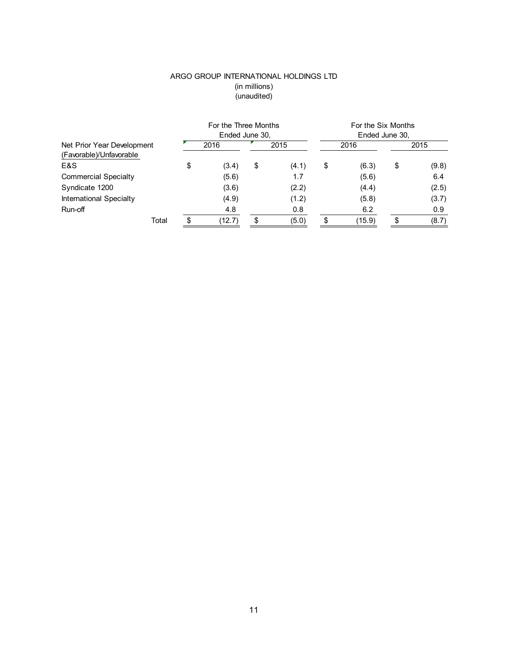### (unaudited) (in millions) ARGO GROUP INTERNATIONAL HOLDINGS LTD

|              |      |                | For the Six Months   |        |      |       |  |  |  |
|--------------|------|----------------|----------------------|--------|------|-------|--|--|--|
|              |      |                | Ended June 30,       |        |      |       |  |  |  |
| 2016         | 2015 |                | 2016                 |        | 2015 |       |  |  |  |
|              |      |                |                      |        |      |       |  |  |  |
| \$<br>(3.4)  | \$   | (4.1)          | \$                   | (6.3)  | \$   | (9.8) |  |  |  |
| (5.6)        |      | 1.7            |                      | (5.6)  |      | 6.4   |  |  |  |
| (3.6)        |      | (2.2)          |                      | (4.4)  |      | (2.5) |  |  |  |
| (4.9)        |      | (1.2)          |                      | (5.8)  |      | (3.7) |  |  |  |
| 4.8          |      | 0.8            |                      | 6.2    |      | 0.9   |  |  |  |
| \$<br>(12.7) | \$.  | (5.0)          |                      | (15.9) | \$   | (8.7) |  |  |  |
|              |      | Ended June 30, | For the Three Months |        |      |       |  |  |  |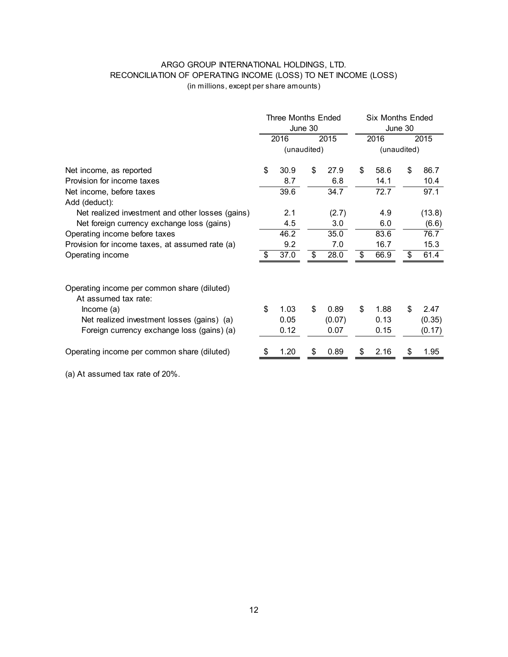## ARGO GROUP INTERNATIONAL HOLDINGS, LTD. RECONCILIATION OF OPERATING INCOME (LOSS) TO NET INCOME (LOSS) (in millions, except per share amounts)

|                                                                     | <b>Three Months Ended</b><br>June 30 |      |    |             |    | <b>Six Months Ended</b> |    |             |  |
|---------------------------------------------------------------------|--------------------------------------|------|----|-------------|----|-------------------------|----|-------------|--|
|                                                                     |                                      | 2016 |    | 2015        |    | 2016                    |    | 2015        |  |
|                                                                     |                                      |      |    | (unaudited) |    |                         |    | (unaudited) |  |
| Net income, as reported                                             | \$                                   | 30.9 | \$ | 27.9        | \$ | 58.6                    | \$ | 86.7        |  |
| Provision for income taxes                                          |                                      | 8.7  |    | 6.8         |    | 14.1                    |    | 10.4        |  |
| Net income, before taxes                                            |                                      | 39.6 |    | 34.7        |    | 72.7                    |    | 97.1        |  |
| Add (deduct):                                                       |                                      |      |    |             |    |                         |    |             |  |
| Net realized investment and other losses (gains)                    |                                      | 2.1  |    | (2.7)       |    | 4.9                     |    | (13.8)      |  |
| Net foreign currency exchange loss (gains)                          |                                      | 4.5  |    | 3.0         |    | 6.0                     |    | (6.6)       |  |
| Operating income before taxes                                       |                                      | 46.2 |    | 35.0        |    | 83.6                    |    | 76.7        |  |
| Provision for income taxes, at assumed rate (a)                     |                                      | 9.2  |    | 7.0         |    | 16.7                    |    | 15.3        |  |
| Operating income                                                    | \$                                   | 37.0 | \$ | 28.0        | \$ | 66.9                    | \$ | 61.4        |  |
| Operating income per common share (diluted)<br>At assumed tax rate: |                                      |      |    |             |    |                         |    |             |  |
| lncome(a)                                                           | \$                                   | 1.03 | \$ | 0.89        | \$ | 1.88                    | \$ | 2.47        |  |
| Net realized investment losses (gains) (a)                          |                                      | 0.05 |    | (0.07)      |    | 0.13                    |    | (0.35)      |  |
| Foreign currency exchange loss (gains) (a)                          |                                      | 0.12 |    | 0.07        |    | 0.15                    |    | (0.17)      |  |
| Operating income per common share (diluted)                         |                                      | 1.20 | \$ | 0.89        | \$ | 2.16                    | \$ | 1.95        |  |
| (a) At assumed tax rate of 20%.                                     |                                      |      |    |             |    |                         |    |             |  |

12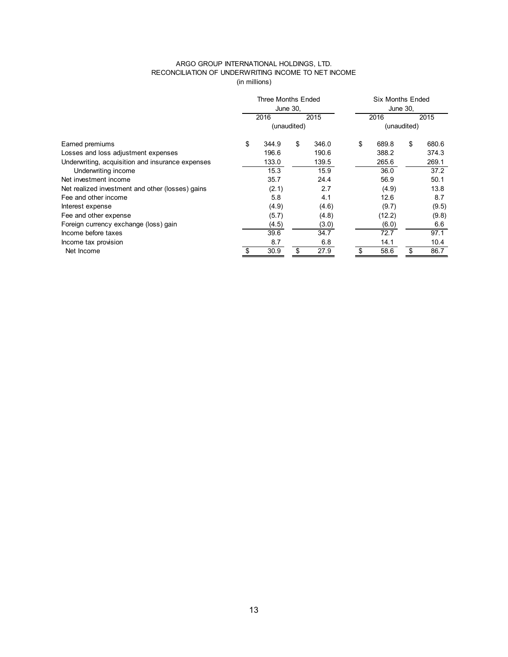#### ARGO GROUP INTERNATIONAL HOLDINGS, LTD. RECONCILIATION OF UNDERWRITING INCOME TO NET INCOME (in millions)

|                                                  | Three Months Ended<br>June 30, |       |    |       |    | <b>Six Months Ended</b><br>June 30, |      |       |  |  |
|--------------------------------------------------|--------------------------------|-------|----|-------|----|-------------------------------------|------|-------|--|--|
|                                                  | 2015<br>2016                   |       |    |       |    | 2016                                | 2015 |       |  |  |
|                                                  | (unaudited)                    |       |    |       |    | (unaudited)                         |      |       |  |  |
| Earned premiums                                  | \$                             | 344.9 | \$ | 346.0 | \$ | 689.8                               | \$   | 680.6 |  |  |
| Losses and loss adjustment expenses              |                                | 196.6 |    | 190.6 |    | 388.2                               |      | 374.3 |  |  |
| Underwriting, acquisition and insurance expenses |                                | 133.0 |    | 139.5 |    | 265.6                               |      | 269.1 |  |  |
| Underwriting income                              |                                | 15.3  |    | 15.9  |    | 36.0                                |      | 37.2  |  |  |
| Net investment income                            |                                | 35.7  |    | 24.4  |    | 56.9                                |      | 50.1  |  |  |
| Net realized investment and other (losses) gains |                                | (2.1) |    | 2.7   |    | (4.9)                               |      | 13.8  |  |  |
| Fee and other income                             |                                | 5.8   |    | 4.1   |    | 12.6                                |      | 8.7   |  |  |
| Interest expense                                 |                                | (4.9) |    | (4.6) |    | (9.7)                               |      | (9.5) |  |  |
| Fee and other expense                            |                                | (5.7) |    | (4.8) |    | (12.2)                              |      | (9.8) |  |  |
| Foreign currency exchange (loss) gain            |                                | (4.5) |    | (3.0) |    | (6.0)                               |      | 6.6   |  |  |
| Income before taxes                              |                                | 39.6  |    | 34.7  |    | 72.7                                |      | 97.1  |  |  |
| Income tax provision                             |                                | 8.7   |    | 6.8   |    | 14.1                                |      | 10.4  |  |  |
| Net Income                                       |                                | 30.9  | \$ | 27.9  | \$ | 58.6                                | \$   | 86.7  |  |  |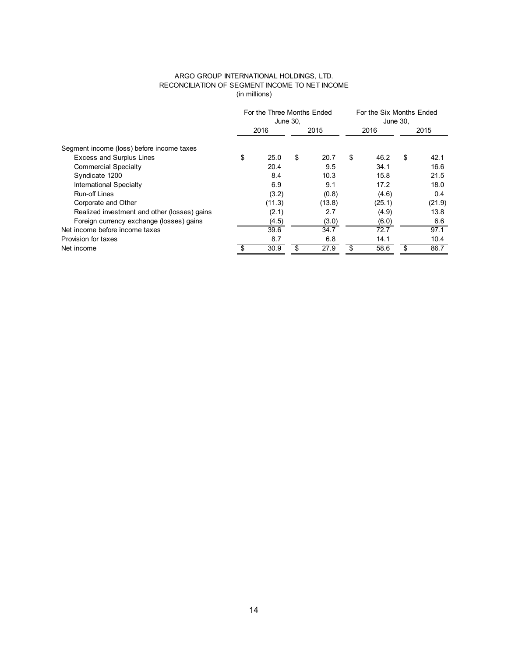#### ARGO GROUP INTERNATIONAL HOLDINGS, LTD. RECONCILIATION OF SEGMENT INCOME TO NET INCOME (in millions)

|                                              | For the Three Months Ended<br>June 30, |        |    |        |    | For the Six Months Ended<br>June 30, |    |        |  |
|----------------------------------------------|----------------------------------------|--------|----|--------|----|--------------------------------------|----|--------|--|
|                                              |                                        | 2016   |    | 2015   |    | 2016                                 |    | 2015   |  |
| Segment income (loss) before income taxes    |                                        |        |    |        |    |                                      |    |        |  |
| <b>Excess and Surplus Lines</b>              | \$                                     | 25.0   | \$ | 20.7   | \$ | 46.2                                 | \$ | 42.1   |  |
| <b>Commercial Specialty</b>                  |                                        | 20.4   |    | 9.5    |    | 34.1                                 |    | 16.6   |  |
| Syndicate 1200                               |                                        | 8.4    |    | 10.3   |    | 15.8                                 |    | 21.5   |  |
| <b>International Specialty</b>               |                                        | 6.9    |    | 9.1    |    | 17.2                                 |    | 18.0   |  |
| Run-off Lines                                |                                        | (3.2)  |    | (0.8)  |    | (4.6)                                |    | 0.4    |  |
| Corporate and Other                          |                                        | (11.3) |    | (13.8) |    | (25.1)                               |    | (21.9) |  |
| Realized investment and other (losses) gains |                                        | (2.1)  |    | 2.7    |    | (4.9)                                |    | 13.8   |  |
| Foreign currency exchange (losses) gains     |                                        | (4.5)  |    | (3.0)  |    | (6.0)                                |    | 6.6    |  |
| Net income before income taxes               |                                        | 39.6   |    | 34.7   |    | 72.7                                 |    | 97.1   |  |
| Provision for taxes                          |                                        | 8.7    |    | 6.8    |    | 14.1                                 |    | 10.4   |  |
| Net income                                   |                                        | 30.9   |    | 27.9   |    | 58.6                                 | \$ | 86.7   |  |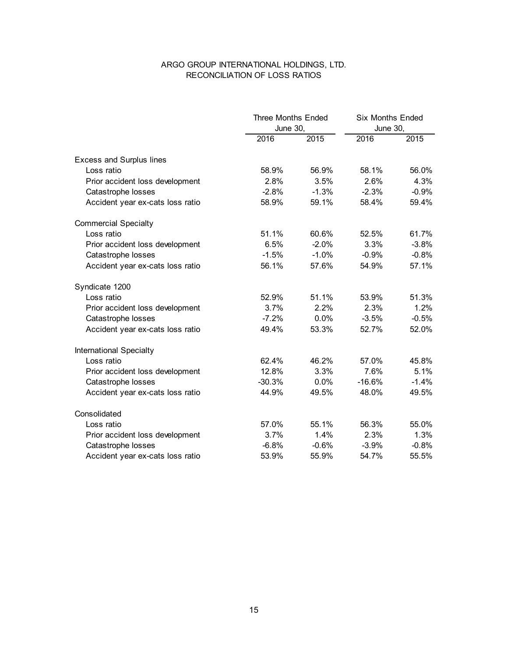### ARGO GROUP INTERNATIONAL HOLDINGS, LTD. RECONCILIATION OF LOSS RATIOS

|                                  | <b>Three Months Ended</b> |         | <b>Six Months Ended</b> |         |  |
|----------------------------------|---------------------------|---------|-------------------------|---------|--|
|                                  | <b>June 30,</b>           |         | <b>June 30,</b>         |         |  |
|                                  | 2016                      | 2015    | 2016                    | 2015    |  |
| <b>Excess and Surplus lines</b>  |                           |         |                         |         |  |
| Loss ratio                       | 58.9%                     | 56.9%   | 58.1%                   | 56.0%   |  |
| Prior accident loss development  | 2.8%                      | 3.5%    | 2.6%                    | 4.3%    |  |
| Catastrophe losses               | $-2.8%$                   | $-1.3%$ | $-2.3%$                 | $-0.9%$ |  |
| Accident year ex-cats loss ratio | 58.9%                     | 59.1%   | 58.4%                   | 59.4%   |  |
| <b>Commercial Specialty</b>      |                           |         |                         |         |  |
| Loss ratio                       | 51.1%                     | 60.6%   | 52.5%                   | 61.7%   |  |
| Prior accident loss development  | 6.5%                      | $-2.0%$ | 3.3%                    | $-3.8%$ |  |
| Catastrophe losses               | $-1.5%$                   | $-1.0%$ | $-0.9%$                 | $-0.8%$ |  |
| Accident year ex-cats loss ratio | 56.1%                     | 57.6%   | 54.9%                   | 57.1%   |  |
| Syndicate 1200                   |                           |         |                         |         |  |
| Loss ratio                       | 52.9%                     | 51.1%   | 53.9%                   | 51.3%   |  |
| Prior accident loss development  | 3.7%                      | 2.2%    | 2.3%                    | 1.2%    |  |
| Catastrophe losses               | $-7.2%$                   | 0.0%    | $-3.5%$                 | $-0.5%$ |  |
| Accident year ex-cats loss ratio | 49.4%                     | 53.3%   | 52.7%                   | 52.0%   |  |
| International Specialty          |                           |         |                         |         |  |
| Loss ratio                       | 62.4%                     | 46.2%   | 57.0%                   | 45.8%   |  |
| Prior accident loss development  | 12.8%                     | 3.3%    | 7.6%                    | 5.1%    |  |
| Catastrophe losses               | $-30.3%$                  | 0.0%    | $-16.6%$                | $-1.4%$ |  |
| Accident year ex-cats loss ratio | 44.9%                     | 49.5%   | 48.0%                   | 49.5%   |  |
| Consolidated                     |                           |         |                         |         |  |
| Loss ratio                       | 57.0%                     | 55.1%   | 56.3%                   | 55.0%   |  |
| Prior accident loss development  | 3.7%                      | 1.4%    | 2.3%                    | 1.3%    |  |
| Catastrophe losses               | $-6.8%$                   | $-0.6%$ | $-3.9%$                 | $-0.8%$ |  |
| Accident year ex-cats loss ratio | 53.9%                     | 55.9%   | 54.7%                   | 55.5%   |  |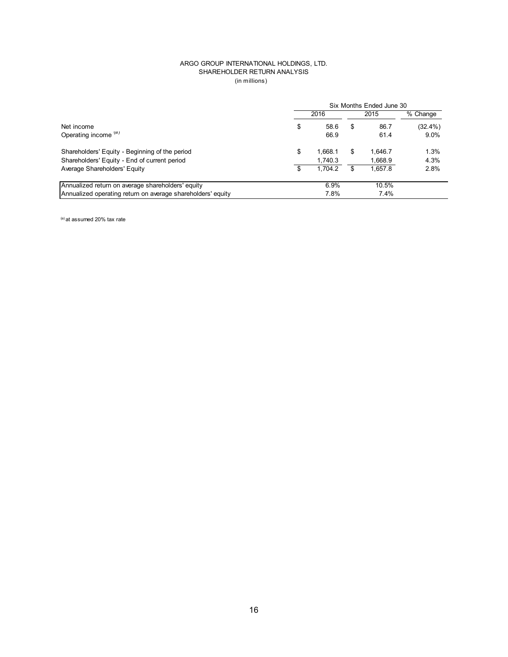#### ARGO GROUP INTERNATIONAL HOLDINGS, LTD. SHAREHOLDER RETURN ANALYSIS (in millions)

|                                                             | Six Months Ended June 30 |         |    |         |            |  |  |  |
|-------------------------------------------------------------|--------------------------|---------|----|---------|------------|--|--|--|
|                                                             | 2016                     |         |    | 2015    | % Change   |  |  |  |
| Net income                                                  | \$                       | 58.6    | \$ | 86.7    | $(32.4\%)$ |  |  |  |
| Operating income (a)                                        |                          | 66.9    |    | 61.4    | 9.0%       |  |  |  |
| Shareholders' Equity - Beginning of the period              | \$                       | 1.668.1 | \$ | 1.646.7 | 1.3%       |  |  |  |
| Shareholders' Equity - End of current period                |                          | 1.740.3 |    | 1,668.9 | 4.3%       |  |  |  |
| Average Shareholders' Equity                                |                          | 1.704.2 | \$ | 1.657.8 | 2.8%       |  |  |  |
| Annualized return on average shareholders' equity           |                          | 6.9%    |    | 10.5%   |            |  |  |  |
| Annualized operating return on average shareholders' equity |                          | 7.8%    |    | 7.4%    |            |  |  |  |

(a) at assumed 20% tax rate